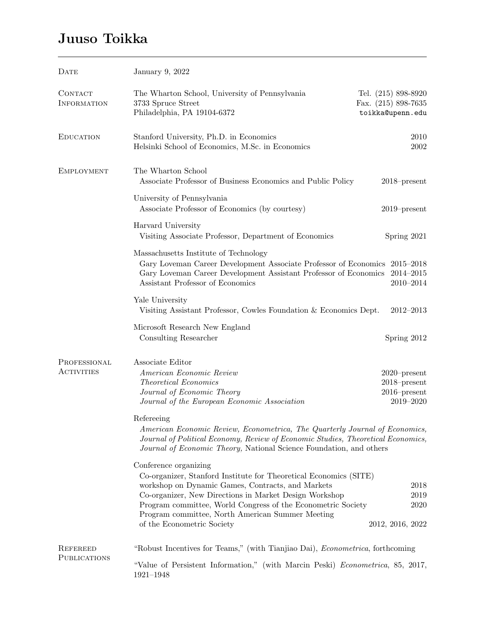## Juuso Toikka

| <b>DATE</b>                            | January 9, 2022                                                                                                                                                                                                                                                                                                                                             |                                                                    |  |
|----------------------------------------|-------------------------------------------------------------------------------------------------------------------------------------------------------------------------------------------------------------------------------------------------------------------------------------------------------------------------------------------------------------|--------------------------------------------------------------------|--|
| CONTACT<br><b>INFORMATION</b>          | The Wharton School, University of Pennsylvania<br>3733 Spruce Street<br>Philadelphia, PA 19104-6372                                                                                                                                                                                                                                                         | Tel. $(215)$ 898-8920<br>Fax. $(215)$ 898-7635<br>toikka@upenn.edu |  |
| <b>EDUCATION</b>                       | Stanford University, Ph.D. in Economics<br>Helsinki School of Economics, M.Sc. in Economics                                                                                                                                                                                                                                                                 | 2010<br>2002                                                       |  |
| <b>EMPLOYMENT</b>                      | The Wharton School<br>Associate Professor of Business Economics and Public Policy                                                                                                                                                                                                                                                                           | $2018$ -present                                                    |  |
|                                        | University of Pennsylvania<br>Associate Professor of Economics (by courtesy)                                                                                                                                                                                                                                                                                | $2019$ -present                                                    |  |
|                                        | Harvard University<br>Visiting Associate Professor, Department of Economics                                                                                                                                                                                                                                                                                 | Spring 2021                                                        |  |
|                                        | Massachusetts Institute of Technology<br>Gary Loveman Career Development Associate Professor of Economics 2015-2018<br>Gary Loveman Career Development Assistant Professor of Economics 2014-2015<br>Assistant Professor of Economics                                                                                                                       | $2010 - 2014$                                                      |  |
|                                        | Yale University<br>Visiting Assistant Professor, Cowles Foundation & Economics Dept.                                                                                                                                                                                                                                                                        | $2012 - 2013$                                                      |  |
|                                        | Microsoft Research New England<br>Consulting Researcher                                                                                                                                                                                                                                                                                                     | Spring 2012                                                        |  |
| PROFESSIONAL<br><b>ACTIVITIES</b>      | Associate Editor<br>American Economic Review<br><b>Theoretical Economics</b><br>Journal of Economic Theory<br>Journal of the European Economic Association                                                                                                                                                                                                  | $2020$ -present<br>$2018$ -present<br>$2016$ -present<br>2019-2020 |  |
|                                        | Refereeing<br>American Economic Review, Econometrica, The Quarterly Journal of Economics,<br>Journal of Political Economy, Review of Economic Studies, Theoretical Economics,<br>Journal of Economic Theory, National Science Foundation, and others                                                                                                        |                                                                    |  |
|                                        | Conference organizing<br>Co-organizer, Stanford Institute for Theoretical Economics (SITE)<br>workshop on Dynamic Games, Contracts, and Markets<br>Co-organizer, New Directions in Market Design Workshop<br>Program committee, World Congress of the Econometric Society<br>Program committee, North American Summer Meeting<br>of the Econometric Society | $\,2018$<br>2019<br>2020<br>2012, 2016, 2022                       |  |
| <b>REFEREED</b><br><b>PUBLICATIONS</b> | "Robust Incentives for Teams," (with Tianjiao Dai), <i>Econometrica</i> , forthcoming<br>"Value of Persistent Information," (with Marcin Peski) <i>Econometrica</i> , 85, 2017,<br>$1921 - 1948$                                                                                                                                                            |                                                                    |  |